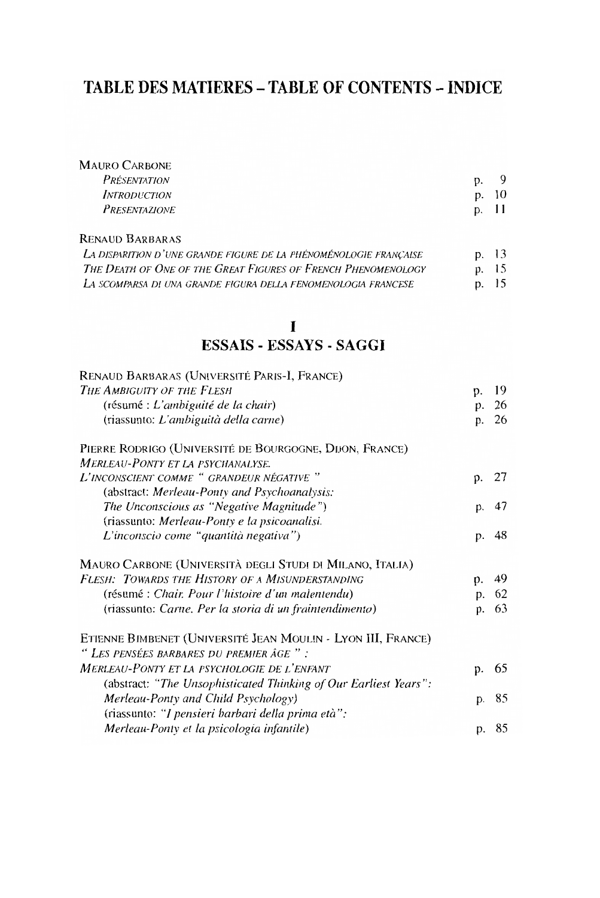## TABLE DES MATIERES - TABLE OF CONTENTS - INDICE

| <b>MAURO CARBONE</b> |    |    |
|----------------------|----|----|
| <i>PRÉSENTATION</i>  |    |    |
| <i>INTRODUCTION</i>  | D. | 10 |
| PRESENTAZIONE        | D. | 11 |
|                      |    |    |

RENAUD BARBARAS

| LA DISPARITION D'UNE GRANDE FIGURE DE LA PHÉNOMÉNOLOGIE FRANCAISE | p. 13 |  |
|-------------------------------------------------------------------|-------|--|
| The Death of One of the Great Figures of French Phenomenology     | p. 15 |  |
| LA SCOMPARSA DI UNA GRANDE FIGURA DELLA FENOMENOLOGIA FRANCESE    | p. 15 |  |

## $\mathbf I$ **ESSAIS - ESSAYS - SAGGI**

| RENAUD BARBARAS (UNIVERSITÉ PARIS-I, FRANCE)                     |    |    |
|------------------------------------------------------------------|----|----|
| THE AMBIGUITY OF THE FLESH                                       | p. | 19 |
| (résumé : L'ambiguité de la chair)                               | p. | 26 |
| (riassunto: L'ambiguità della carne)                             | p. | 26 |
| PIERRE RODRIGO (UNIVERSITÉ DE BOURGOGNE, DIJON, FRANCE)          |    |    |
| <b>MERLEAU-PONTY ET LA PSYCHANALYSE.</b>                         |    |    |
| L'INCONSCIENT COMME " GRANDEUR NÉGATIVE "                        | p. | 27 |
| (abstract: Merleau-Ponty and Psychoanalysis:                     |    |    |
| The Unconscious as "Negative Magnitude")                         | p. | 47 |
| (riassunto: Merleau-Ponty e la psicoanalisi.                     |    |    |
| L'inconscio come "quantità negativa")                            | p. | 48 |
| MAURO CARBONE (UNIVERSITÀ DEGLI STUDI DI MILANO, ITALIA)         |    |    |
| FLESH: TOWARDS THE HISTORY OF A MISUNDERSTANDING                 | p. | 49 |
| (résumé : Chair. Pour l'histoire d'un malentendu)                | p. | 62 |
| (riassunto: Carne. Per la storia di un fraintendimento)          | p. | 63 |
| ETIENNE BIMBENET (UNIVERSITÉ JEAN MOULIN - LYON III, FRANCE)     |    |    |
| " LES PENSÉES BARBARES DU PREMIER ÂGE ":                         |    |    |
| <b>MERLEAU-PONTY ET LA PSYCHOLOGIE DE L'ENFANT</b>               | p. | 65 |
| (abstract: "The Unsophisticated Thinking of Our Earliest Years": |    |    |
| Merleau-Ponty and Child Psychology)                              | D. | 85 |
| (riassunto: "I pensieri barbari della prima età":                |    |    |
| Merleau-Ponty et la psicologia infantile)                        | p. | 85 |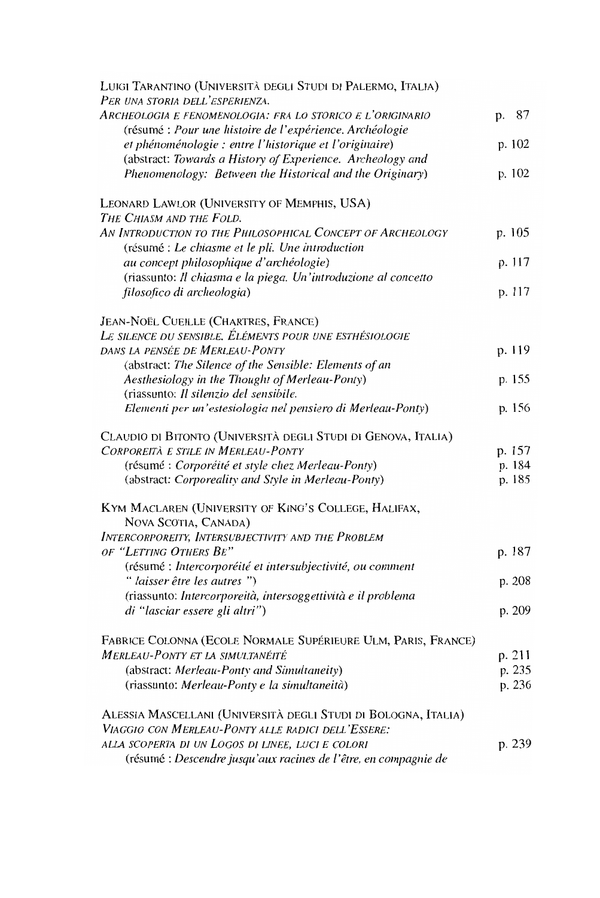| LUIGI TARANTINO (UNIVERSITÀ DEGLI STUDI DI PALERMO, ITALIA)                                                            |    |        |
|------------------------------------------------------------------------------------------------------------------------|----|--------|
| PER UNA STORIA DELL'ESPERIENZA.                                                                                        |    |        |
| Archeologia e fenomenologia: fra lo storico e l'originario<br>(résumé : Pour une histoire de l'expérience. Archéologie | p. | 87     |
| et phénoménologie : entre l'historique et l'originaire)                                                                |    | p. 102 |
| (abstract: Towards a History of Experience. Archeology and                                                             |    |        |
| Phenomenology: Between the Historical and the Originary)                                                               |    | p. 102 |
|                                                                                                                        |    |        |
| LEONARD LAWLOR (UNIVERSITY OF MEMPHIS, USA)                                                                            |    |        |
| THE CHIASM AND THE FOLD.                                                                                               |    |        |
| AN INTRODUCTION TO THE PHILOSOPHICAL CONCEPT OF ARCHEOLOGY                                                             |    | p. 105 |
| (résumé : Le chiasme et le pli. Une introduction                                                                       |    |        |
| au concept philosophique d'archéologie)                                                                                |    | p. 117 |
| (riassunto: Il chiasma e la piega. Un'introduzione al concetto                                                         |    |        |
| filosofico di archeologia)                                                                                             |    | p. 117 |
| JEAN-NOËL CUEILLE (CHARTRES, FRANCE)                                                                                   |    |        |
| Le silence du sensible. Éléments pour une esthésiologie                                                                |    |        |
| DANS LA PENSÉE DE MERLEAU-PONTY                                                                                        |    | p. 119 |
| (abstract: The Silence of the Sensible: Elements of an                                                                 |    |        |
| Aesthesiology in the Thought of Merleau-Ponty)                                                                         |    | p. 155 |
| (riassunto: Il silenzio del sensibile.                                                                                 |    |        |
| Elementi per un'estesiologia nel pensiero di Merleau-Ponty)                                                            |    | p. 156 |
| CLAUDIO DI BITONTO (UNIVERSITÀ DEGLI STUDI DI GENOVA, ITALIA)                                                          |    |        |
| CORPOREITÀ E STILE IN MERLEAU-PONTY                                                                                    |    | p. 157 |
| (résumé : Corporéité et style chez Merleau-Ponty)                                                                      |    | p. 184 |
| (abstract: Corporeality and Style in Merleau-Ponty)                                                                    |    | p. 185 |
| KYM MACLAREN (UNIVERSITY OF KING'S COLLEGE, HALIFAX,                                                                   |    |        |
| NOVA SCOTIA, CANADA)                                                                                                   |    |        |
| INTERCORPOREITY, INTERSUBJECTIVITY AND THE PROBLEM                                                                     |    |        |
| OF "LETTING OTHERS BE"                                                                                                 |    | p. 187 |
| (résumé : Intercorporéité et intersubjectivité, ou comment                                                             |    |        |
| " laisser être les autres ")                                                                                           |    | p. 208 |
| (riassunto: Intercorporeità, intersoggettività e il problema                                                           |    |        |
| di "lasciar essere gli altri")                                                                                         |    | p. 209 |
| FABRICE COLONNA (ECOLE NORMALE SUPÉRIEURE ULM, PARIS, FRANCE)                                                          |    |        |
| <b>MERLEAU-PONTY ET LA SIMULTANÉITÉ</b>                                                                                |    | p. 211 |
| (abstract: Merleau-Ponty and Simultaneity)                                                                             |    | p. 235 |
| (riassunto: Merleau-Ponty e la simultaneità)                                                                           |    | p. 236 |
|                                                                                                                        |    |        |
| ALESSIA MASCELLANI (UNIVERSITÀ DEGLI STUDI DI BOLOGNA, ITALIA)                                                         |    |        |
| VIAGGIO CON MERLEAU-PONTY ALLE RADICI DELL'ESSERE:                                                                     |    |        |
| ALLA SCOPERTA DI UN LOGOS DI LINEE, LUCI E COLORI                                                                      |    | p. 239 |
| (résumé : Descendre jusqu'aux racines de l'être, en compagnie de                                                       |    |        |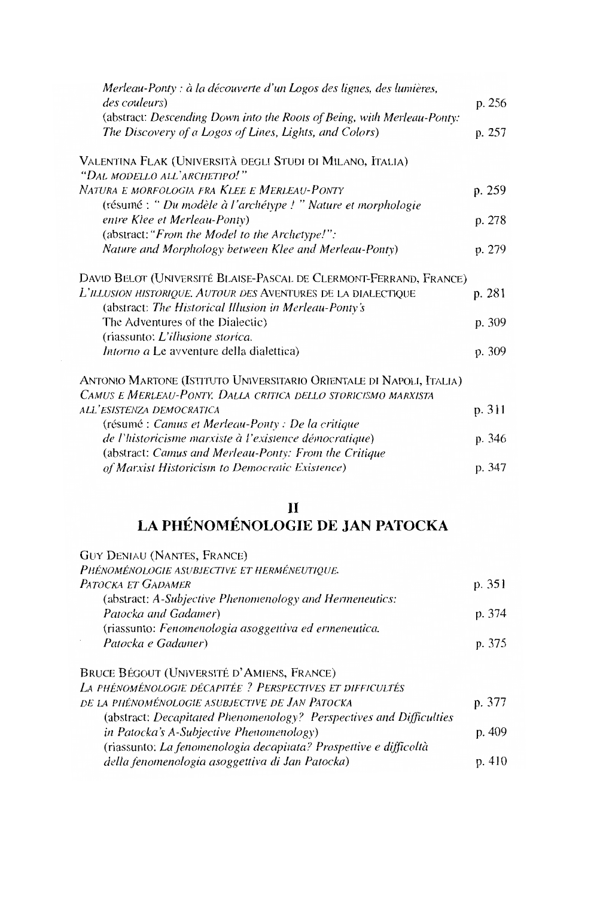| Merleau-Ponty : à la découverte d'un Logos des lignes, des lumières,    |        |
|-------------------------------------------------------------------------|--------|
| <i>des couleurs</i> )                                                   | p. 256 |
| (abstract: Descending Down into the Roots of Being, with Merleau-Ponty: |        |
| The Discovery of a Logos of Lines, Lights, and Colors)                  | p. 257 |
| VALENTINA FLAK (UNIVERSITÀ DEGLI STUDI DI MILANO, ITALIA)               |        |
| "DAL MODELLO ALL'ARCHETIPO!"                                            |        |
| Natura e morfologia fra Klee e Merleau-Ponty                            | p. 259 |
| (résumé : " Du modèle à l'archétype ! " Nature et morphologie           |        |
| entre Klee et Merleau-Ponty)                                            | p. 278 |
| (abstract: "From the Model to the Archetype!":                          |        |
| Nature and Morphology between Klee and Merleau-Ponty)                   | p. 279 |
| DAVID BELOT (UNIVERSITÉ BLAISE-PASCAL DE CLERMONT-FERRAND, FRANCE)      |        |
| L'illusion historique. Autour des Aventures de la dialectique           | p. 281 |
| (abstract: The Historical Illusion in Merleau-Ponty's                   |        |
| The Adventures of the Dialectic)                                        | p. 309 |
| (riassunto: L'illusione storica.                                        |        |
| <i>Intorno a</i> Le avventure della dialettica)                         | p. 309 |
| ANTONIO MARTONE (ISTITUTO UNIVERSITARIO ORIENTALE DI NAPOLI, ITALIA)    |        |
| CAMUS E MERLEAU-PONTY, DALLA CRITICA DELLO STORICISMO MARXISTA          |        |
| ALL'ESISTENZA DEMOCRATICA                                               | p. 311 |
| (résumé : Camus et Merleau-Ponty : De la critique                       |        |
| de l'historicisme marxiste à l'existence démocratique)                  | p. 346 |
| (abstract: Camus and Merleau-Ponty: From the Critique                   |        |
| of Marxist Historicism to Democratic Existence)                         | p. 347 |

## II<br>LA PHÉNOMÉNOLOGIE DE JAN PATOCKA

| <b>GUY DENIAU (NANTES, FRANCE)</b>                                  |        |
|---------------------------------------------------------------------|--------|
| PHÉNOMÉNOLOGIE ASUBJECTIVE ET HERMÉNEUTIOUE.                        |        |
| PATOCKA ET GADAMER                                                  | p. 351 |
| (abstract: A-Subjective Phenomenology and Hermeneutics:             |        |
| Patocka and Gadamer)                                                | p. 374 |
| (riassunto: Fenomenologia asoggettiva ed ermeneutica.               |        |
| Patocka e Gadamer)                                                  | p. 375 |
| BRUCE BÉGOUT (UNIVERSITÉ D'AMIENS, FRANCE)                          |        |
| La phénoménologie décapitée ? Perspectives et difficultés           |        |
| DE LA PHÉNOMÉNOLOGIE ASUBJECTIVE DE JAN PATOCKA                     | p. 377 |
| (abstract: Decapitated Phenomenology? Perspectives and Difficulties |        |
| in Patocka's A-Subjective Phenomenology)                            | p. 409 |
| (riassunto: La fenomenologia decapitata? Prospettive e difficoltà   |        |
| della fenomenologia asoggettiva di Jan Patocka)                     | p. 410 |
|                                                                     |        |